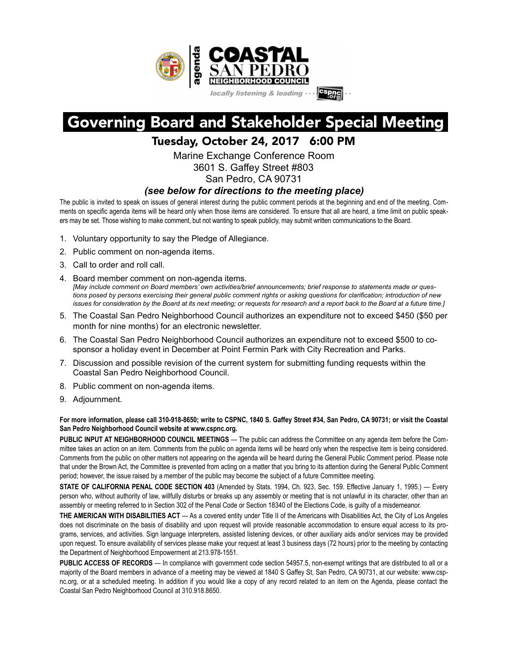

## Governing Board and Stakeholder Special Meeting

## Tuesday, October 24, 2017 6:00 PM

Marine Exchange Conference Room 3601 S. Gaffey Street #803 San Pedro, CA 90731

## *(see below for directions to the meeting place)*

The public is invited to speak on issues of general interest during the public comment periods at the beginning and end of the meeting. Comments on specific agenda items will be heard only when those items are considered. To ensure that all are heard, a time limit on public speakers may be set. Those wishing to make comment, but not wanting to speak publicly, may submit written communications to the Board.

- 1. Voluntary opportunity to say the Pledge of Allegiance.
- 2. Public comment on non-agenda items.
- 3. Call to order and roll call.
- 4. Board member comment on non-agenda items. *[May include comment on Board members' own activities/brief announcements; brief response to statements made or questions posed by persons exercising their general public comment rights or asking questions for clarification; introduction of new issues for consideration by the Board at its next meeting; or requests for research and a report back to the Board at a future time.]*
- 5. The Coastal San Pedro Neighborhood Council authorizes an expenditure not to exceed \$450 (\$50 per month for nine months) for an electronic newsletter.
- 6. The Coastal San Pedro Neighborhood Council authorizes an expenditure not to exceed \$500 to cosponsor a holiday event in December at Point Fermin Park with City Recreation and Parks.
- 7. Discussion and possible revision of the current system for submitting funding requests within the Coastal San Pedro Neighborhood Council.
- 8. Public comment on non-agenda items.
- 9. Adjournment.

**For more information, please call 310-918-8650; write to CSPNC, 1840 S. Gaffey Street #34, San Pedro, CA 90731; or visit the Coastal San Pedro Neighborhood Council website at www.cspnc.org.** 

**PUBLIC INPUT AT NEIGHBORHOOD COUNCIL MEETINGS** — The public can address the Committee on any agenda item before the Committee takes an action on an item. Comments from the public on agenda items will be heard only when the respective item is being considered. Comments from the public on other matters not appearing on the agenda will be heard during the General Public Comment period. Please note that under the Brown Act, the Committee is prevented from acting on a matter that you bring to its attention during the General Public Comment period; however, the issue raised by a member of the public may become the subject of a future Committee meeting.

**STATE OF CALIFORNIA PENAL CODE SECTION 403** (Amended by Stats. 1994, Ch. 923, Sec. 159. Effective January 1, 1995.) — Every person who, without authority of law, willfully disturbs or breaks up any assembly or meeting that is not unlawful in its character, other than an assembly or meeting referred to in Section 302 of the Penal Code or Section 18340 of the Elections Code, is guilty of a misdemeanor.

**THE AMERICAN WITH DISABILITIES ACT** — As a covered entity under Title II of the Americans with Disabilities Act, the City of Los Angeles does not discriminate on the basis of disability and upon request will provide reasonable accommodation to ensure equal access to its programs, services, and activities. Sign language interpreters, assisted listening devices, or other auxiliary aids and/or services may be provided upon request. To ensure availability of services please make your request at least 3 business days (72 hours) prior to the meeting by contacting the Department of Neighborhood Empowerment at 213.978-1551.

**PUBLIC ACCESS OF RECORDS** — In compliance with government code section 54957.5, non-exempt writings that are distributed to all or a majority of the Board members in advance of a meeting may be viewed at 1840 S Gaffey St, San Pedro, CA 90731, at our website: www.cspnc.org, or at a scheduled meeting. In addition if you would like a copy of any record related to an item on the Agenda, please contact the Coastal San Pedro Neighborhood Council at 310.918.8650.